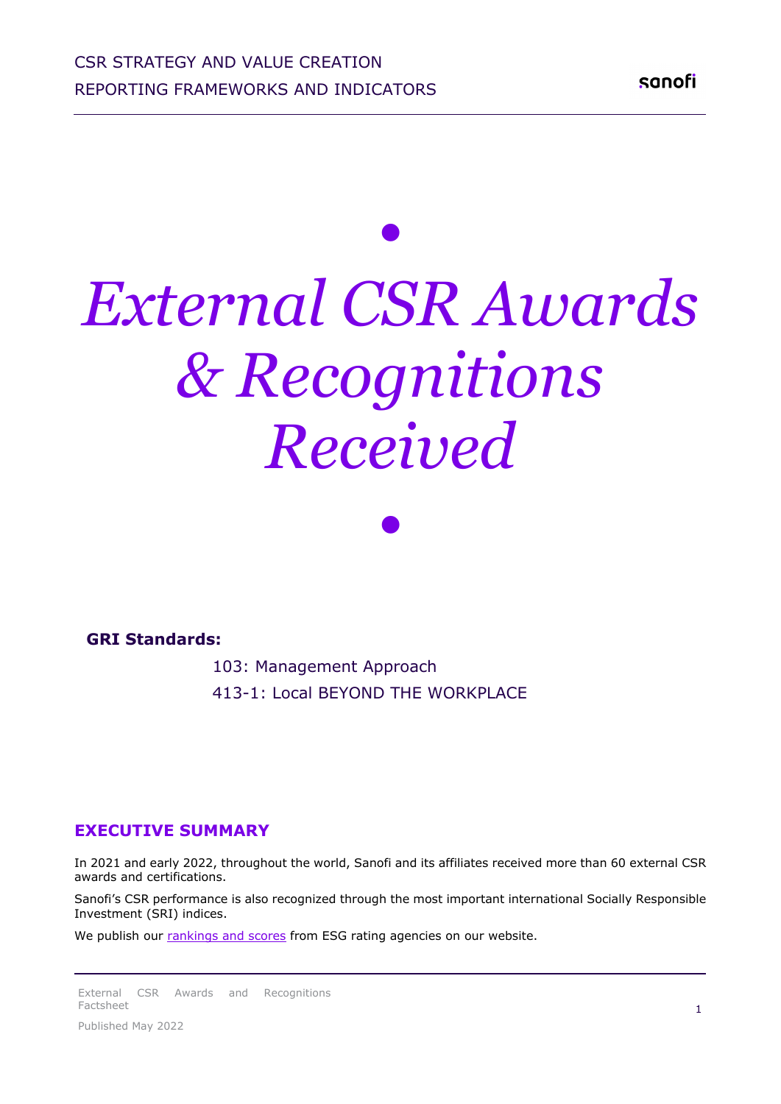## *• External CSR Awards & Recognitions Received*

*•*

## **GRI Standards:**

 103: Management Approach 413-1: Local BEYOND THE WORKPLACE

## **EXECUTIVE SUMMARY**

In 2021 and early 2022, throughout the world, Sanofi and its affiliates received more than 60 external CSR awards and certifications.

Sanofi's CSR performance is also recognized through the most important international Socially Responsible Investment (SRI) indices.

We publish our [rankings and scores](https://www.sanofi.com/en/investors/company-overview/socially-responsible-investment) from ESG rating agencies on our website.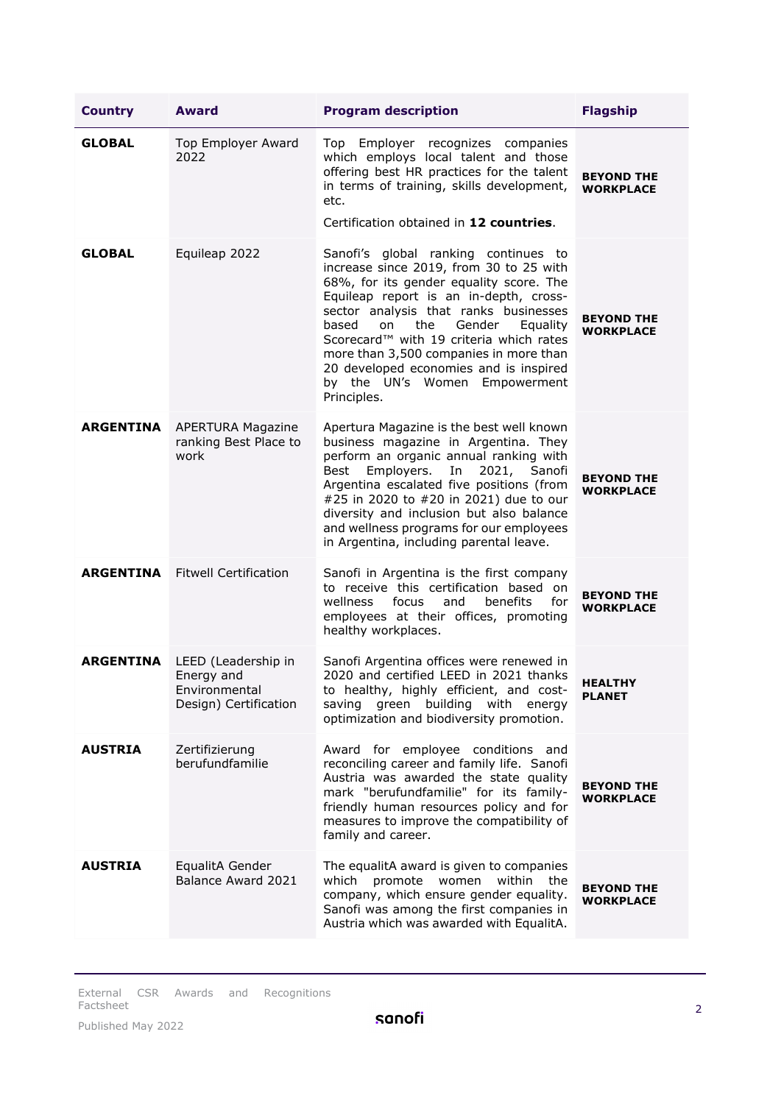| <b>Country</b>   | <b>Award</b>                                                                | <b>Program description</b>                                                                                                                                                                                                                                                                                                                                                                                                                           | <b>Flagship</b>                       |
|------------------|-----------------------------------------------------------------------------|------------------------------------------------------------------------------------------------------------------------------------------------------------------------------------------------------------------------------------------------------------------------------------------------------------------------------------------------------------------------------------------------------------------------------------------------------|---------------------------------------|
| <b>GLOBAL</b>    | <b>Top Employer Award</b><br>2022                                           | Top Employer recognizes companies<br>which employs local talent and those<br>offering best HR practices for the talent<br>in terms of training, skills development,<br>etc.<br>Certification obtained in 12 countries.                                                                                                                                                                                                                               | <b>BEYOND THE</b><br><b>WORKPLACE</b> |
| <b>GLOBAL</b>    | Equileap 2022                                                               | Sanofi's global ranking continues to<br>increase since 2019, from 30 to 25 with<br>68%, for its gender equality score. The<br>Equileap report is an in-depth, cross-<br>sector analysis that ranks businesses<br>based<br>the<br>Gender<br>on<br>Equality<br>Scorecard <sup>™</sup> with 19 criteria which rates<br>more than 3,500 companies in more than<br>20 developed economies and is inspired<br>by the UN's Women Empowerment<br>Principles. | <b>BEYOND THE</b><br>WORKPLACE        |
| <b>ARGENTINA</b> | <b>APERTURA Magazine</b><br>ranking Best Place to<br>work                   | Apertura Magazine is the best well known<br>business magazine in Argentina. They<br>perform an organic annual ranking with<br>2021,<br>Best<br>Employers.<br>In<br>Sanofi<br>Argentina escalated five positions (from<br>#25 in 2020 to #20 in 2021) due to our<br>diversity and inclusion but also balance<br>and wellness programs for our employees<br>in Argentina, including parental leave.                                                    | <b>BEYOND THE</b><br>WORKPLACE        |
| <b>ARGENTINA</b> | <b>Fitwell Certification</b>                                                | Sanofi in Argentina is the first company<br>to receive this certification based on<br>wellness<br>focus<br>and<br>benefits<br>for<br>employees at their offices, promoting<br>healthy workplaces.                                                                                                                                                                                                                                                    | <b>BEYOND THE</b><br>WORKPLACE        |
| <b>ARGENTINA</b> | LEED (Leadership in<br>Energy and<br>Environmental<br>Design) Certification | Sanofi Argentina offices were renewed in<br>2020 and certified LEED in 2021 thanks<br>to healthy, highly efficient, and cost-<br>green<br>building<br>with<br>saving<br>energy<br>optimization and biodiversity promotion.                                                                                                                                                                                                                           | <b>HEALTHY</b><br><b>PLANET</b>       |
| <b>AUSTRIA</b>   | Zertifizierung<br>berufundfamilie                                           | Award for employee conditions and<br>reconciling career and family life. Sanofi<br>Austria was awarded the state quality<br>mark "berufundfamilie" for its family-<br>friendly human resources policy and for<br>measures to improve the compatibility of<br>family and career.                                                                                                                                                                      | <b>BEYOND THE</b><br><b>WORKPLACE</b> |
| <b>AUSTRIA</b>   | EqualitA Gender<br>Balance Award 2021                                       | The equalitA award is given to companies<br>which<br>promote<br>women<br>within the<br>company, which ensure gender equality.<br>Sanofi was among the first companies in<br>Austria which was awarded with EqualitA.                                                                                                                                                                                                                                 | <b>BEYOND THE</b><br>WORKPLACE        |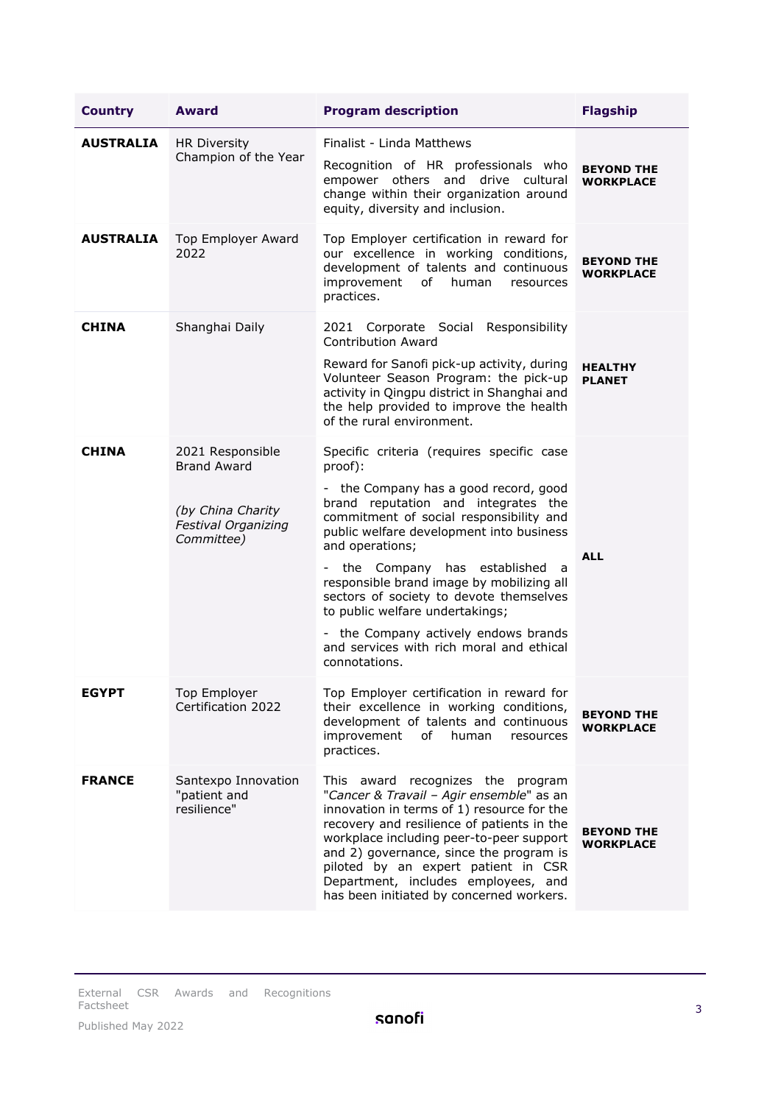| <b>Country</b>   | <b>Award</b>                                                                                            | <b>Program description</b>                                                                                                                                                                                                                                                                                                                                                                                                                                                                                         | <b>Flagship</b>                       |
|------------------|---------------------------------------------------------------------------------------------------------|--------------------------------------------------------------------------------------------------------------------------------------------------------------------------------------------------------------------------------------------------------------------------------------------------------------------------------------------------------------------------------------------------------------------------------------------------------------------------------------------------------------------|---------------------------------------|
| <b>AUSTRALIA</b> | <b>HR Diversity</b><br>Champion of the Year                                                             | Finalist - Linda Matthews<br>Recognition of HR professionals who<br>empower others and drive cultural<br>change within their organization around<br>equity, diversity and inclusion.                                                                                                                                                                                                                                                                                                                               | <b>BEYOND THE</b><br><b>WORKPLACE</b> |
| <b>AUSTRALIA</b> | Top Employer Award<br>2022                                                                              | Top Employer certification in reward for<br>our excellence in working conditions,<br>development of talents and continuous<br>improvement<br>of<br>human<br>resources<br>practices.                                                                                                                                                                                                                                                                                                                                | <b>BEYOND THE</b><br><b>WORKPLACE</b> |
| <b>CHINA</b>     | Shanghai Daily                                                                                          | 2021 Corporate Social Responsibility<br><b>Contribution Award</b><br>Reward for Sanofi pick-up activity, during<br>Volunteer Season Program: the pick-up<br>activity in Qingpu district in Shanghai and<br>the help provided to improve the health<br>of the rural environment.                                                                                                                                                                                                                                    | <b>HEALTHY</b><br><b>PLANET</b>       |
| <b>CHINA</b>     | 2021 Responsible<br><b>Brand Award</b><br>(by China Charity<br><b>Festival Organizing</b><br>Committee) | Specific criteria (requires specific case<br>proof):<br>- the Company has a good record, good<br>brand reputation and integrates the<br>commitment of social responsibility and<br>public welfare development into business<br>and operations;<br>the Company has established<br>a<br>responsible brand image by mobilizing all<br>sectors of society to devote themselves<br>to public welfare undertakings;<br>- the Company actively endows brands<br>and services with rich moral and ethical<br>connotations. | <b>ALL</b>                            |
| <b>EGYPT</b>     | Top Employer<br>Certification 2022                                                                      | Top Employer certification in reward for<br>their excellence in working conditions,<br>development of talents and continuous<br>improvement<br>human<br>of<br>resources<br>practices.                                                                                                                                                                                                                                                                                                                              | <b>BEYOND THE</b><br><b>WORKPLACE</b> |
| <b>FRANCE</b>    | Santexpo Innovation<br>"patient and<br>resilience"                                                      | This award recognizes the program<br>"Cancer & Travail - Agir ensemble" as an<br>innovation in terms of 1) resource for the<br>recovery and resilience of patients in the<br>workplace including peer-to-peer support<br>and 2) governance, since the program is<br>piloted by an expert patient in CSR<br>Department, includes employees, and<br>has been initiated by concerned workers.                                                                                                                         | <b>BEYOND THE</b><br><b>WORKPLACE</b> |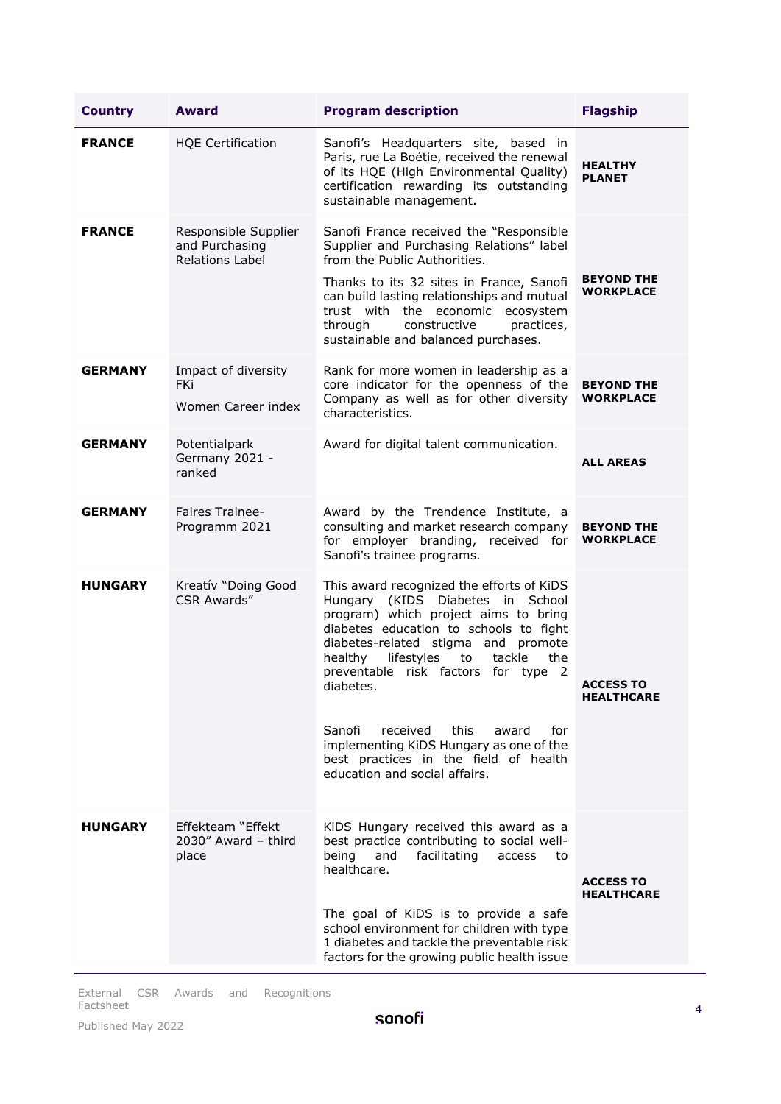| <b>Country</b> | <b>Award</b>                                                     | <b>Program description</b>                                                                                                                                                                                                                                                                                                                                                                                                                                                    | <b>Flagship</b>                       |
|----------------|------------------------------------------------------------------|-------------------------------------------------------------------------------------------------------------------------------------------------------------------------------------------------------------------------------------------------------------------------------------------------------------------------------------------------------------------------------------------------------------------------------------------------------------------------------|---------------------------------------|
| <b>FRANCE</b>  | <b>HQE Certification</b>                                         | Sanofi's Headquarters site, based in<br>Paris, rue La Boétie, received the renewal<br>of its HQE (High Environmental Quality)<br>certification rewarding its outstanding<br>sustainable management.                                                                                                                                                                                                                                                                           | <b>HEALTHY</b><br><b>PLANET</b>       |
| <b>FRANCE</b>  | Responsible Supplier<br>and Purchasing<br><b>Relations Label</b> | Sanofi France received the "Responsible<br>Supplier and Purchasing Relations" label<br>from the Public Authorities.<br>Thanks to its 32 sites in France, Sanofi<br>can build lasting relationships and mutual<br>trust with the economic ecosystem<br>constructive<br>through<br>practices,<br>sustainable and balanced purchases.                                                                                                                                            | <b>BEYOND THE</b><br>WORKPLACE        |
| <b>GERMANY</b> | Impact of diversity<br><b>FKi</b><br>Women Career index          | Rank for more women in leadership as a<br>core indicator for the openness of the<br>Company as well as for other diversity<br>characteristics.                                                                                                                                                                                                                                                                                                                                | <b>BEYOND THE</b><br><b>WORKPLACE</b> |
| <b>GERMANY</b> | Potentialpark<br>Germany 2021 -<br>ranked                        | Award for digital talent communication.                                                                                                                                                                                                                                                                                                                                                                                                                                       | <b>ALL AREAS</b>                      |
| <b>GERMANY</b> | <b>Faires Trainee-</b><br>Programm 2021                          | Award by the Trendence Institute, a<br>consulting and market research company<br>for employer branding, received for<br>Sanofi's trainee programs.                                                                                                                                                                                                                                                                                                                            | <b>BEYOND THE</b><br><b>WORKPLACE</b> |
| <b>HUNGARY</b> | Kreatív "Doing Good<br><b>CSR Awards"</b>                        | This award recognized the efforts of KiDS<br>Hungary (KIDS Diabetes in School<br>program) which project aims to bring<br>diabetes education to schools to fight<br>diabetes-related stigma and promote<br>healthy<br>lifestyles<br>tackle<br>the<br>to<br>preventable risk factors for type 2<br>diabetes.<br>Sanofi<br>received<br>this<br>award<br>for<br>implementing KiDS Hungary as one of the<br>best practices in the field of health<br>education and social affairs. | <b>ACCESS TO</b><br><b>HEALTHCARE</b> |
| <b>HUNGARY</b> | Effekteam "Effekt<br>$2030''$ Award - third<br>place             | KiDS Hungary received this award as a<br>best practice contributing to social well-<br>being<br>and<br>facilitating<br>access<br>to<br>healthcare.<br>The goal of KiDS is to provide a safe<br>school environment for children with type<br>1 diabetes and tackle the preventable risk<br>factors for the growing public health issue                                                                                                                                         | <b>ACCESS TO</b><br><b>HEALTHCARE</b> |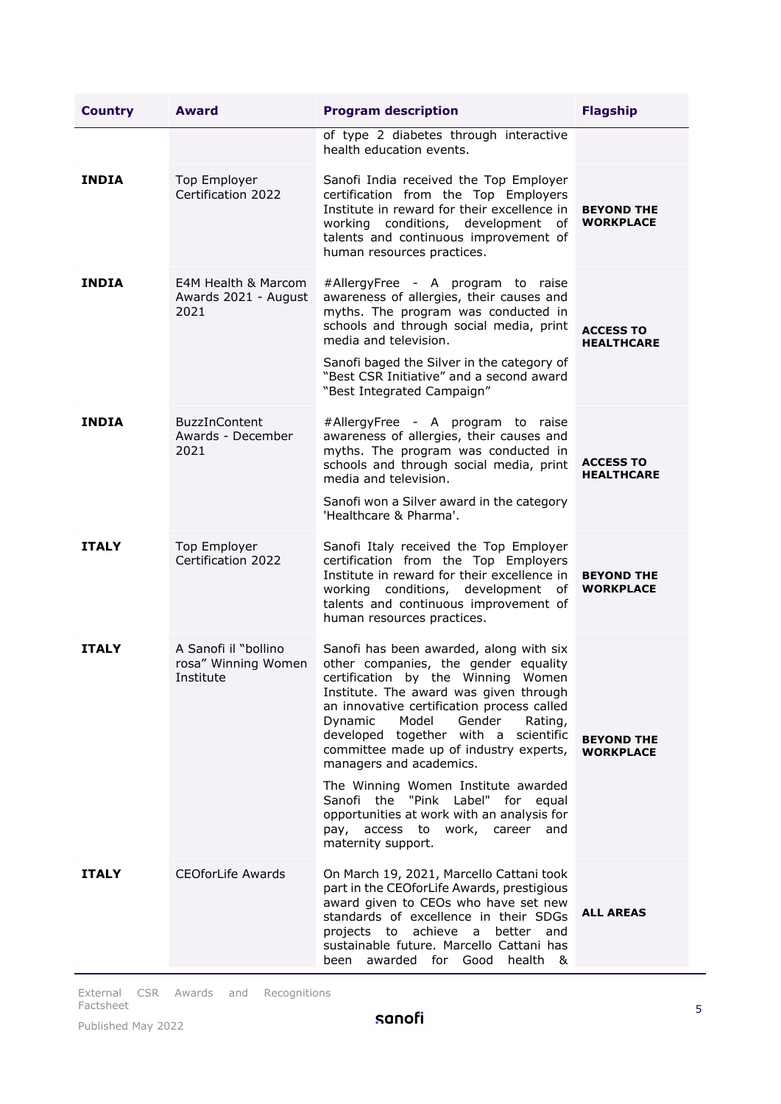| <b>Country</b> | <b>Award</b>                                             | <b>Program description</b>                                                                                                                                                                                                                                                                                                                                                                                                                                                                                                                                      | <b>Flagship</b>                       |
|----------------|----------------------------------------------------------|-----------------------------------------------------------------------------------------------------------------------------------------------------------------------------------------------------------------------------------------------------------------------------------------------------------------------------------------------------------------------------------------------------------------------------------------------------------------------------------------------------------------------------------------------------------------|---------------------------------------|
|                |                                                          | of type 2 diabetes through interactive<br>health education events.                                                                                                                                                                                                                                                                                                                                                                                                                                                                                              |                                       |
| <b>INDIA</b>   | Top Employer<br>Certification 2022                       | Sanofi India received the Top Employer<br>certification from the Top Employers<br>Institute in reward for their excellence in<br>working conditions, development of<br>talents and continuous improvement of<br>human resources practices.                                                                                                                                                                                                                                                                                                                      | <b>BEYOND THE</b><br><b>WORKPLACE</b> |
| <b>INDIA</b>   | E4M Health & Marcom<br>Awards 2021 - August<br>2021      | #AllergyFree - A program to raise<br>awareness of allergies, their causes and<br>myths. The program was conducted in<br>schools and through social media, print<br>media and television.<br>Sanofi baged the Silver in the category of<br>"Best CSR Initiative" and a second award<br>"Best Integrated Campaign"                                                                                                                                                                                                                                                | <b>ACCESS TO</b><br><b>HEALTHCARE</b> |
| <b>INDIA</b>   | <b>BuzzInContent</b><br>Awards - December<br>2021        | #AllergyFree - A program to raise<br>awareness of allergies, their causes and<br>myths. The program was conducted in<br>schools and through social media, print<br>media and television.<br>Sanofi won a Silver award in the category<br>'Healthcare & Pharma'.                                                                                                                                                                                                                                                                                                 | <b>ACCESS TO</b><br><b>HEALTHCARE</b> |
| <b>ITALY</b>   | Top Employer<br>Certification 2022                       | Sanofi Italy received the Top Employer<br>certification from the Top Employers<br>Institute in reward for their excellence in<br>working conditions, development of<br>talents and continuous improvement of<br>human resources practices.                                                                                                                                                                                                                                                                                                                      | <b>BEYOND THE</b><br>WORKPLACE        |
| <b>ITALY</b>   | A Sanofi il "bollino<br>rosa" Winning Women<br>Institute | Sanofi has been awarded, along with six<br>other companies, the gender equality<br>certification by the Winning Women<br>Institute. The award was given through<br>an innovative certification process called<br>Dynamic<br>Model<br>Gender<br>Rating,<br>developed together with a scientific<br>committee made up of industry experts,<br>managers and academics.<br>The Winning Women Institute awarded<br>Sanofi the "Pink Label" for<br>eaual<br>opportunities at work with an analysis for<br>access to<br>work, career and<br>pay,<br>maternity support. | <b>BEYOND THE</b><br><b>WORKPLACE</b> |
| <b>ITALY</b>   | <b>CEOforLife Awards</b>                                 | On March 19, 2021, Marcello Cattani took<br>part in the CEOforLife Awards, prestigious<br>award given to CEOs who have set new<br>standards of excellence in their SDGs<br>projects to achieve a better<br>and<br>sustainable future. Marcello Cattani has<br>been awarded for Good health &                                                                                                                                                                                                                                                                    | <b>ALL AREAS</b>                      |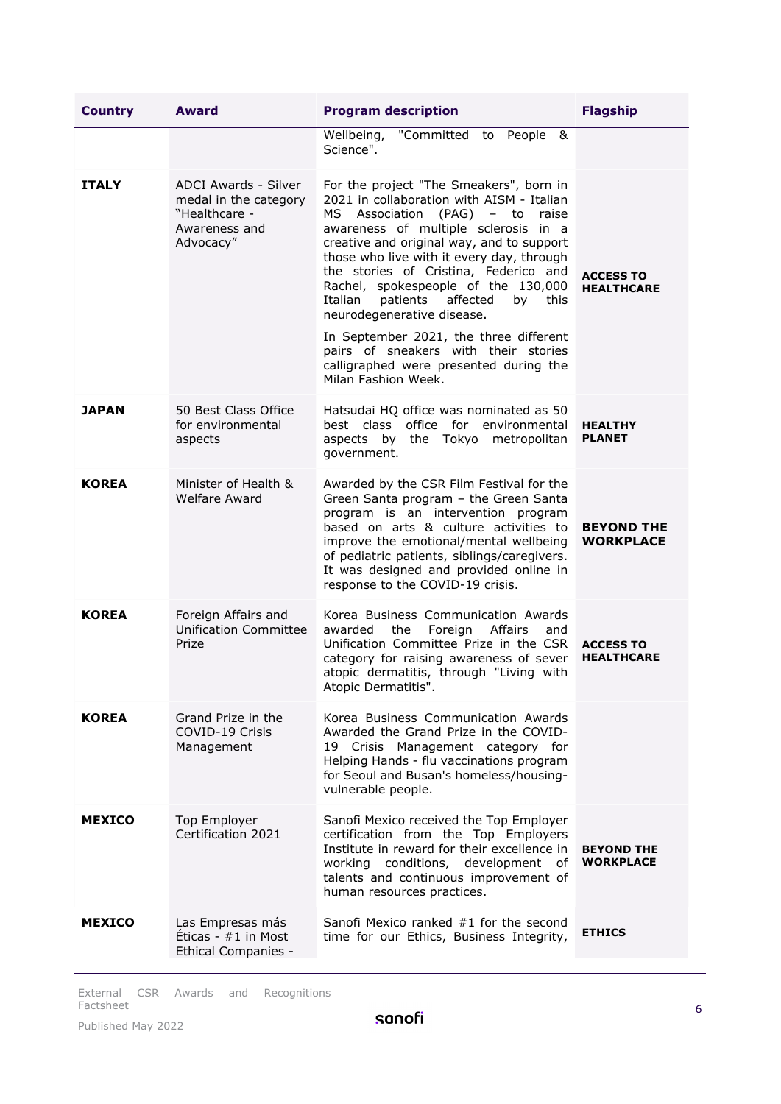| <b>Country</b> | <b>Award</b>                                                                                 | <b>Program description</b>                                                                                                                                                                                                                                                                                                                                                                                                                                                                                                                                                   | <b>Flagship</b>                       |
|----------------|----------------------------------------------------------------------------------------------|------------------------------------------------------------------------------------------------------------------------------------------------------------------------------------------------------------------------------------------------------------------------------------------------------------------------------------------------------------------------------------------------------------------------------------------------------------------------------------------------------------------------------------------------------------------------------|---------------------------------------|
|                |                                                                                              | "Committed to People<br>Wellbeing,<br>84<br>Science".                                                                                                                                                                                                                                                                                                                                                                                                                                                                                                                        |                                       |
| <b>ITALY</b>   | ADCI Awards - Silver<br>medal in the category<br>"Healthcare -<br>Awareness and<br>Advocacy" | For the project "The Smeakers", born in<br>2021 in collaboration with AISM - Italian<br>MS.<br>Association (PAG) - to raise<br>awareness of multiple sclerosis in a<br>creative and original way, and to support<br>those who live with it every day, through<br>the stories of Cristina, Federico and<br>Rachel, spokespeople of the 130,000<br>patients affected<br>this<br>Italian<br>by<br>neurodegenerative disease.<br>In September 2021, the three different<br>pairs of sneakers with their stories<br>calligraphed were presented during the<br>Milan Fashion Week. | <b>ACCESS TO</b><br><b>HEALTHCARE</b> |
| <b>JAPAN</b>   | 50 Best Class Office<br>for environmental<br>aspects                                         | Hatsudai HQ office was nominated as 50<br>best class office for environmental<br>aspects by the Tokyo metropolitan<br>government.                                                                                                                                                                                                                                                                                                                                                                                                                                            | <b>HEALTHY</b><br><b>PLANET</b>       |
| <b>KOREA</b>   | Minister of Health &<br><b>Welfare Award</b>                                                 | Awarded by the CSR Film Festival for the<br>Green Santa program - the Green Santa<br>program is an intervention program<br>based on arts & culture activities to<br>improve the emotional/mental wellbeing<br>of pediatric patients, siblings/caregivers.<br>It was designed and provided online in<br>response to the COVID-19 crisis.                                                                                                                                                                                                                                      | <b>BEYOND THE</b><br><b>WORKPLACE</b> |
| <b>KOREA</b>   | Foreign Affairs and<br><b>Unification Committee</b><br>Prize                                 | Korea Business Communication Awards<br>the<br>Foreign<br>Affairs<br>and<br>awarded<br>Unification Committee Prize in the CSR<br>category for raising awareness of sever<br>atopic dermatitis, through "Living with<br>Atopic Dermatitis".                                                                                                                                                                                                                                                                                                                                    | <b>ACCESS TO</b><br><b>HEALTHCARE</b> |
| <b>KOREA</b>   | Grand Prize in the<br>COVID-19 Crisis<br>Management                                          | Korea Business Communication Awards<br>Awarded the Grand Prize in the COVID-<br>19 Crisis Management category for<br>Helping Hands - flu vaccinations program<br>for Seoul and Busan's homeless/housing-<br>vulnerable people.                                                                                                                                                                                                                                                                                                                                               |                                       |
| <b>MEXICO</b>  | Top Employer<br>Certification 2021                                                           | Sanofi Mexico received the Top Employer<br>certification from the Top Employers<br>Institute in reward for their excellence in<br>conditions, development<br>working<br>of<br>talents and continuous improvement of<br>human resources practices.                                                                                                                                                                                                                                                                                                                            | <b>BEYOND THE</b><br><b>WORKPLACE</b> |
| <b>MEXICO</b>  | Las Empresas más<br>Eticas - $#1$ in Most<br><b>Ethical Companies -</b>                      | Sanofi Mexico ranked #1 for the second<br>time for our Ethics, Business Integrity,                                                                                                                                                                                                                                                                                                                                                                                                                                                                                           | <b>ETHICS</b>                         |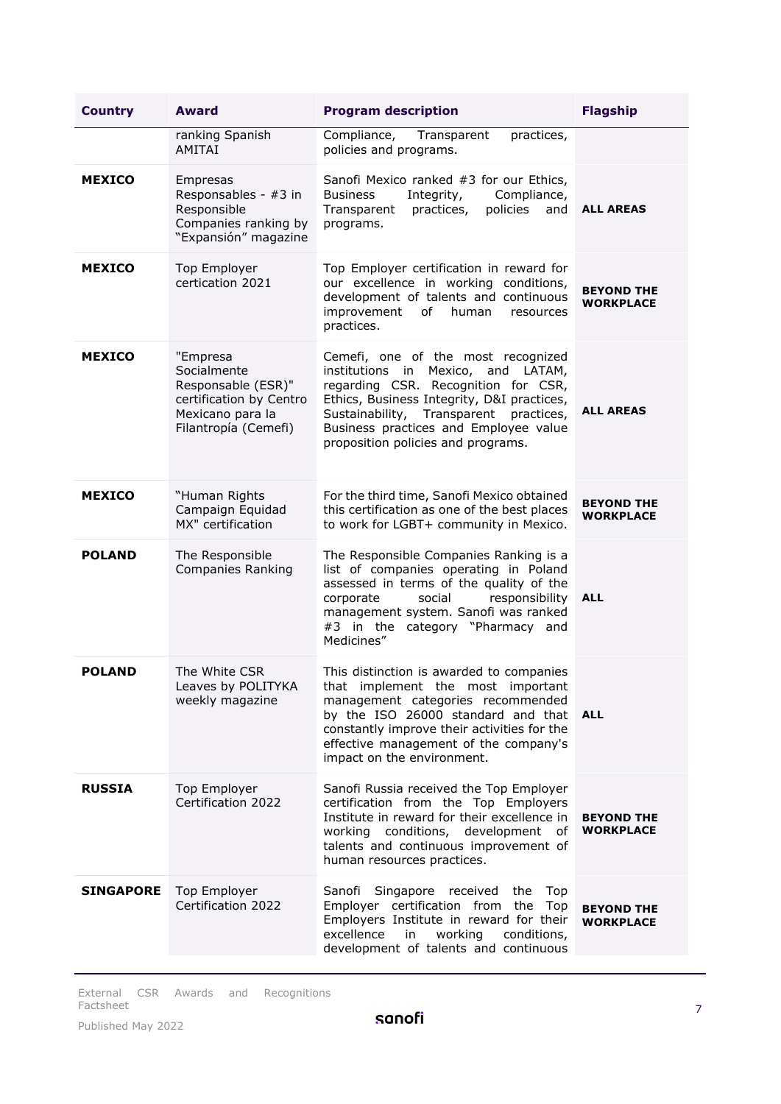| <b>Country</b>   | <b>Award</b>                                                                                                         | <b>Program description</b>                                                                                                                                                                                                                                                             | <b>Flagship</b>                       |
|------------------|----------------------------------------------------------------------------------------------------------------------|----------------------------------------------------------------------------------------------------------------------------------------------------------------------------------------------------------------------------------------------------------------------------------------|---------------------------------------|
|                  | ranking Spanish<br>AMITAI                                                                                            | Compliance,<br>Transparent<br>practices,<br>policies and programs.                                                                                                                                                                                                                     |                                       |
| <b>MEXICO</b>    | Empresas<br>Responsables - #3 in<br>Responsible<br>Companies ranking by<br>"Expansión" magazine                      | Sanofi Mexico ranked #3 for our Ethics,<br><b>Business</b><br>Integrity,<br>Compliance,<br>Transparent<br>practices,<br>policies<br>and<br>programs.                                                                                                                                   | <b>ALL AREAS</b>                      |
| <b>MEXICO</b>    | <b>Top Employer</b><br>certication 2021                                                                              | Top Employer certification in reward for<br>our excellence in working conditions,<br>development of talents and continuous<br>improvement<br>human<br>of _<br>resources<br>practices.                                                                                                  | <b>BEYOND THE</b><br><b>WORKPLACE</b> |
| <b>MEXICO</b>    | "Empresa<br>Socialmente<br>Responsable (ESR)"<br>certification by Centro<br>Mexicano para la<br>Filantropía (Cemefi) | Cemefi, one of the most recognized<br>institutions in Mexico, and LATAM,<br>regarding CSR. Recognition for CSR,<br>Ethics, Business Integrity, D&I practices,<br>Sustainability, Transparent practices,<br>Business practices and Employee value<br>proposition policies and programs. | <b>ALL AREAS</b>                      |
| <b>MEXICO</b>    | "Human Rights<br>Campaign Equidad<br>MX" certification                                                               | For the third time, Sanofi Mexico obtained<br>this certification as one of the best places<br>to work for LGBT+ community in Mexico.                                                                                                                                                   | <b>BEYOND THE</b><br><b>WORKPLACE</b> |
| <b>POLAND</b>    | The Responsible<br><b>Companies Ranking</b>                                                                          | The Responsible Companies Ranking is a<br>list of companies operating in Poland<br>assessed in terms of the quality of the<br>responsibility<br>corporate<br>social<br>management system. Sanofi was ranked<br>#3 in the category "Pharmacy and<br>Medicines"                          | <b>ALL</b>                            |
| <b>POLAND</b>    | The White CSR<br>Leaves by POLITYKA<br>weekly magazine                                                               | This distinction is awarded to companies<br>that implement the most important<br>management categories recommended<br>by the ISO 26000 standard and that<br>constantly improve their activities for the<br>effective management of the company's<br>impact on the environment.         | <b>ALL</b>                            |
| <b>RUSSIA</b>    | Top Employer<br>Certification 2022                                                                                   | Sanofi Russia received the Top Employer<br>certification from the Top Employers<br>Institute in reward for their excellence in<br>working<br>conditions, development<br>of<br>talents and continuous improvement of<br>human resources practices.                                      | <b>BEYOND THE</b><br>WORKPLACE        |
| <b>SINGAPORE</b> | Top Employer<br>Certification 2022                                                                                   | Sanofi<br>Singapore received the<br>Top<br>Employer certification from the<br>Top<br>Employers Institute in reward for their<br>excellence<br>working<br>in<br>conditions,<br>development of talents and continuous                                                                    | <b>BEYOND THE</b><br><b>WORKPLACE</b> |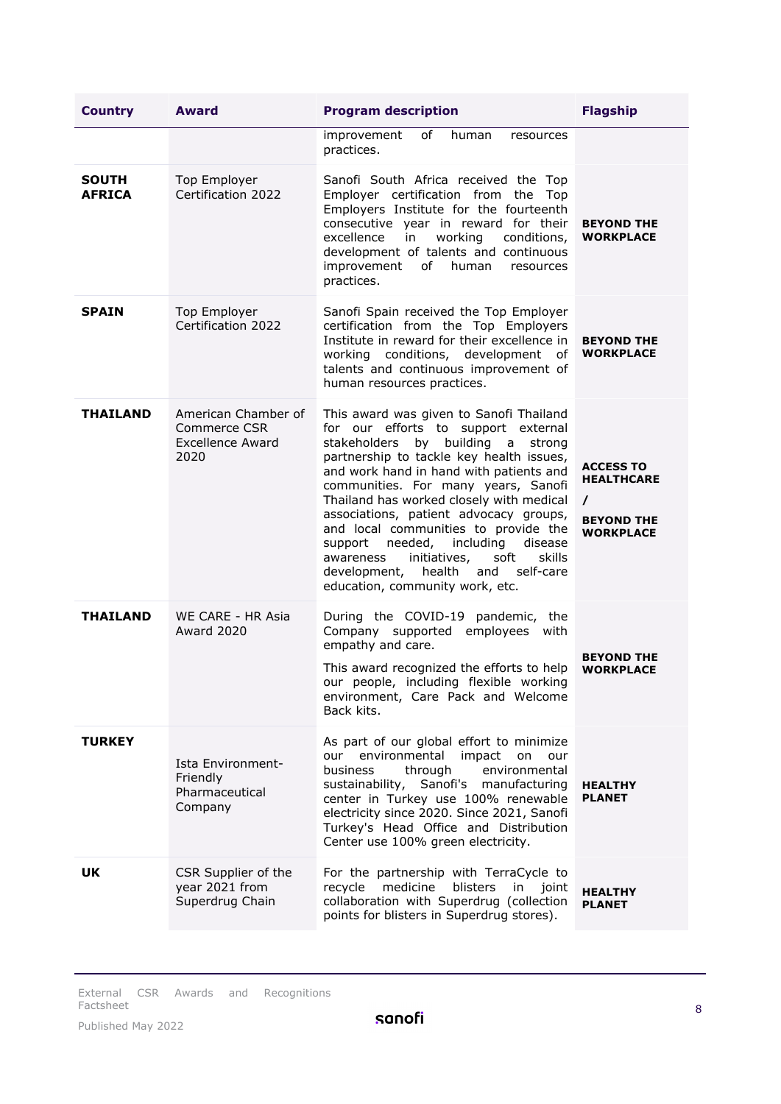| <b>Country</b>                | <b>Award</b>                                                           | <b>Program description</b>                                                                                                                                                                                                                                                                                                                                                                                                                                                                                                                                    | <b>Flagship</b>                                                                            |
|-------------------------------|------------------------------------------------------------------------|---------------------------------------------------------------------------------------------------------------------------------------------------------------------------------------------------------------------------------------------------------------------------------------------------------------------------------------------------------------------------------------------------------------------------------------------------------------------------------------------------------------------------------------------------------------|--------------------------------------------------------------------------------------------|
|                               |                                                                        | of<br>improvement<br>human<br>resources<br>practices.                                                                                                                                                                                                                                                                                                                                                                                                                                                                                                         |                                                                                            |
| <b>SOUTH</b><br><b>AFRICA</b> | Top Employer<br>Certification 2022                                     | Sanofi South Africa received the Top<br>Employer certification from the Top<br>Employers Institute for the fourteenth<br>consecutive year in reward for their<br>in<br>working<br>excellence<br>conditions,<br>development of talents and continuous<br>of<br>improvement<br>human<br>resources<br>practices.                                                                                                                                                                                                                                                 | <b>BEYOND THE</b><br><b>WORKPLACE</b>                                                      |
| <b>SPAIN</b>                  | Top Employer<br>Certification 2022                                     | Sanofi Spain received the Top Employer<br>certification from the Top Employers<br>Institute in reward for their excellence in<br>working conditions, development of<br>talents and continuous improvement of<br>human resources practices.                                                                                                                                                                                                                                                                                                                    | <b>BEYOND THE</b><br><b>WORKPLACE</b>                                                      |
| THAILAND                      | American Chamber of<br>Commerce CSR<br><b>Excellence Award</b><br>2020 | This award was given to Sanofi Thailand<br>for our efforts to support external<br>stakeholders by building a<br>strong<br>partnership to tackle key health issues,<br>and work hand in hand with patients and<br>communities. For many years, Sanofi<br>Thailand has worked closely with medical<br>associations, patient advocacy groups,<br>and local communities to provide the<br>needed, including<br>disease<br>support<br>initiatives,<br>soft<br>skills<br>awareness<br>health<br>self-care<br>development,<br>and<br>education, community work, etc. | <b>ACCESS TO</b><br><b>HEALTHCARE</b><br>$\prime$<br><b>BEYOND THE</b><br><b>WORKPLACE</b> |
| <b>THAILAND</b>               | WE CARE - HR Asia<br><b>Award 2020</b>                                 | During the COVID-19 pandemic, the<br>Company supported employees with<br>empathy and care.<br>This award recognized the efforts to help<br>our people, including flexible working<br>environment, Care Pack and Welcome<br>Back kits.                                                                                                                                                                                                                                                                                                                         | <b>BEYOND THE</b><br><b>WORKPLACE</b>                                                      |
| <b>TURKEY</b>                 | Ista Environment-<br>Friendly<br>Pharmaceutical<br>Company             | As part of our global effort to minimize<br>our environmental impact<br>on<br>our<br>business<br>through<br>environmental<br>sustainability, Sanofi's manufacturing<br>center in Turkey use 100% renewable<br>electricity since 2020. Since 2021, Sanofi<br>Turkey's Head Office and Distribution<br>Center use 100% green electricity.                                                                                                                                                                                                                       | <b>HEALTHY</b><br><b>PLANET</b>                                                            |
| <b>UK</b>                     | CSR Supplier of the<br>year 2021 from<br>Superdrug Chain               | For the partnership with TerraCycle to<br>medicine<br>blisters<br>recycle<br>in<br>joint<br>collaboration with Superdrug (collection<br>points for blisters in Superdrug stores).                                                                                                                                                                                                                                                                                                                                                                             | <b>HEALTHY</b><br><b>PLANET</b>                                                            |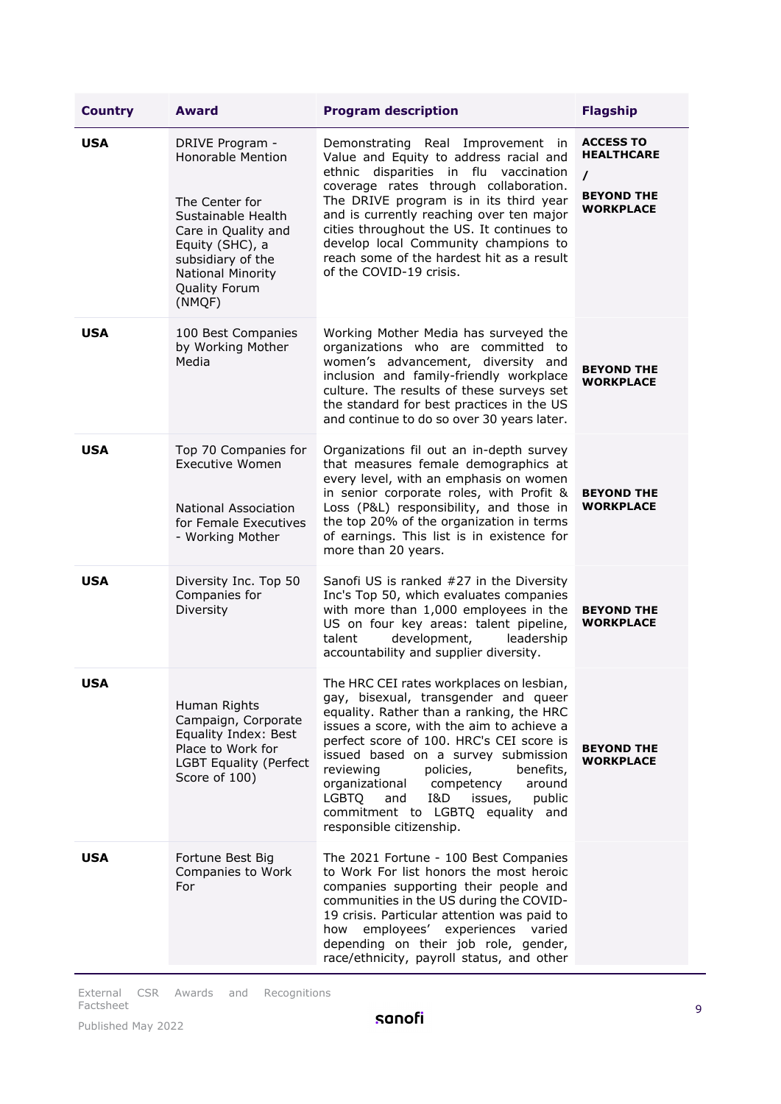| <b>Country</b> | <b>Award</b>                                                                                                                                                                                                     | <b>Program description</b>                                                                                                                                                                                                                                                                                                                                                                                                                                       | <b>Flagship</b>                                                                            |
|----------------|------------------------------------------------------------------------------------------------------------------------------------------------------------------------------------------------------------------|------------------------------------------------------------------------------------------------------------------------------------------------------------------------------------------------------------------------------------------------------------------------------------------------------------------------------------------------------------------------------------------------------------------------------------------------------------------|--------------------------------------------------------------------------------------------|
| <b>USA</b>     | DRIVE Program -<br><b>Honorable Mention</b><br>The Center for<br>Sustainable Health<br>Care in Quality and<br>Equity (SHC), a<br>subsidiary of the<br><b>National Minority</b><br><b>Quality Forum</b><br>(NMQF) | Demonstrating Real Improvement in<br>Value and Equity to address racial and<br>ethnic disparities in flu vaccination<br>coverage rates through collaboration.<br>The DRIVE program is in its third year<br>and is currently reaching over ten major<br>cities throughout the US. It continues to<br>develop local Community champions to<br>reach some of the hardest hit as a result<br>of the COVID-19 crisis.                                                 | <b>ACCESS TO</b><br><b>HEALTHCARE</b><br>$\prime$<br><b>BEYOND THE</b><br><b>WORKPLACE</b> |
| <b>USA</b>     | 100 Best Companies<br>by Working Mother<br>Media                                                                                                                                                                 | Working Mother Media has surveyed the<br>organizations who are committed to<br>women's advancement, diversity and<br>inclusion and family-friendly workplace<br>culture. The results of these surveys set<br>the standard for best practices in the US<br>and continue to do so over 30 years later.                                                                                                                                                             | <b>BEYOND THE</b><br><b>WORKPLACE</b>                                                      |
| <b>USA</b>     | Top 70 Companies for<br><b>Executive Women</b><br><b>National Association</b><br>for Female Executives<br>- Working Mother                                                                                       | Organizations fil out an in-depth survey<br>that measures female demographics at<br>every level, with an emphasis on women<br>in senior corporate roles, with Profit &<br>Loss (P&L) responsibility, and those in<br>the top 20% of the organization in terms<br>of earnings. This list is in existence for<br>more than 20 years.                                                                                                                               | <b>BEYOND THE</b><br><b>WORKPLACE</b>                                                      |
| <b>USA</b>     | Diversity Inc. Top 50<br>Companies for<br>Diversity                                                                                                                                                              | Sanofi US is ranked #27 in the Diversity<br>Inc's Top 50, which evaluates companies<br>with more than 1,000 employees in the<br>US on four key areas: talent pipeline,<br>development,<br>talent<br>leadership<br>accountability and supplier diversity.                                                                                                                                                                                                         | <b>BEYOND THE</b><br><b>WORKPLACE</b>                                                      |
| USA            | Human Rights<br>Campaign, Corporate<br>Equality Index: Best<br>Place to Work for<br><b>LGBT Equality (Perfect</b><br>Score of 100)                                                                               | The HRC CEI rates workplaces on lesbian,<br>gay, bisexual, transgender and queer<br>equality. Rather than a ranking, the HRC<br>issues a score, with the aim to achieve a<br>perfect score of 100. HRC's CEI score is<br>issued based on a survey submission<br>reviewing<br>policies,<br>benefits,<br>organizational<br>competency<br>around<br>and<br>I&D<br><b>LGBTQ</b><br>issues,<br>public<br>commitment to LGBTQ equality and<br>responsible citizenship. | <b>BEYOND THE</b><br><b>WORKPLACE</b>                                                      |
| <b>USA</b>     | Fortune Best Big<br>Companies to Work<br>For                                                                                                                                                                     | The 2021 Fortune - 100 Best Companies<br>to Work For list honors the most heroic<br>companies supporting their people and<br>communities in the US during the COVID-<br>19 crisis. Particular attention was paid to<br>employees' experiences varied<br>how<br>depending on their job role, gender,<br>race/ethnicity, payroll status, and other                                                                                                                 |                                                                                            |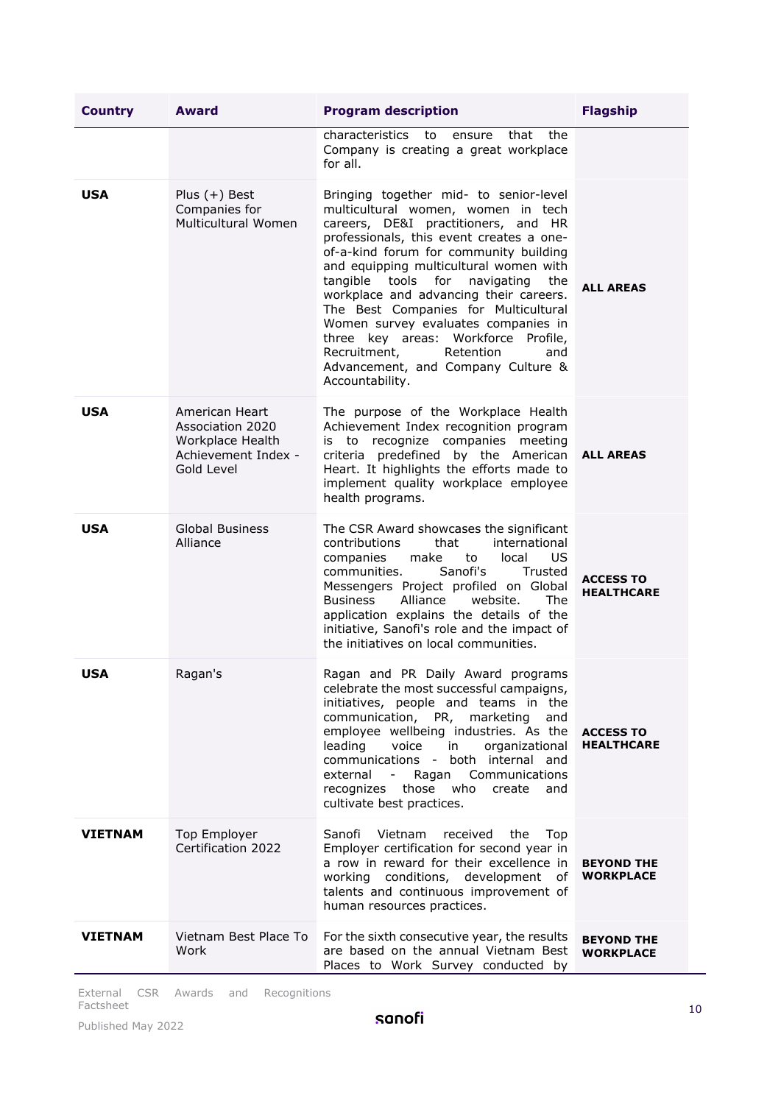| <b>Country</b> | <b>Award</b>                                                                                | <b>Program description</b>                                                                                                                                                                                                                                                                                                                                                                                                                                                                                                                                        | <b>Flagship</b>                       |
|----------------|---------------------------------------------------------------------------------------------|-------------------------------------------------------------------------------------------------------------------------------------------------------------------------------------------------------------------------------------------------------------------------------------------------------------------------------------------------------------------------------------------------------------------------------------------------------------------------------------------------------------------------------------------------------------------|---------------------------------------|
|                |                                                                                             | characteristics<br>that<br>the<br>to<br>ensure<br>Company is creating a great workplace<br>for all.                                                                                                                                                                                                                                                                                                                                                                                                                                                               |                                       |
| <b>USA</b>     | Plus $(+)$ Best<br>Companies for<br>Multicultural Women                                     | Bringing together mid- to senior-level<br>multicultural women, women in tech<br>careers, DE&I practitioners, and HR<br>professionals, this event creates a one-<br>of-a-kind forum for community building<br>and equipping multicultural women with<br>tangible<br>tools<br>for<br>navigating<br>the<br>workplace and advancing their careers.<br>The Best Companies for Multicultural<br>Women survey evaluates companies in<br>three key areas: Workforce Profile,<br>Recruitment,<br>Retention<br>and<br>Advancement, and Company Culture &<br>Accountability. | <b>ALL AREAS</b>                      |
| <b>USA</b>     | American Heart<br>Association 2020<br>Workplace Health<br>Achievement Index -<br>Gold Level | The purpose of the Workplace Health<br>Achievement Index recognition program<br>is to recognize companies meeting<br>criteria predefined by the American<br>Heart. It highlights the efforts made to<br>implement quality workplace employee<br>health programs.                                                                                                                                                                                                                                                                                                  | <b>ALL AREAS</b>                      |
| <b>USA</b>     | <b>Global Business</b><br>Alliance                                                          | The CSR Award showcases the significant<br>contributions<br>international<br>that<br>to<br>US.<br>companies<br>make<br>local<br>Sanofi's<br>communities.<br>Trusted<br>Messengers Project profiled on Global<br><b>Business</b><br>Alliance<br>website.<br>The<br>application explains the details of the<br>initiative, Sanofi's role and the impact of<br>the initiatives on local communities.                                                                                                                                                                 | <b>ACCESS TO</b><br><b>HEALTHCARE</b> |
| <b>USA</b>     | Ragan's                                                                                     | Ragan and PR Daily Award programs<br>celebrate the most successful campaigns,<br>initiatives, people and teams in the<br>communication, PR, marketing<br>and<br>employee wellbeing industries. As the<br>leading<br>voice<br>in<br>organizational<br>communications -<br>both internal and<br>Communications<br>external<br>$\sim$<br>Ragan<br>those<br>recognizes<br>who<br>create<br>and<br>cultivate best practices.                                                                                                                                           | <b>ACCESS TO</b><br><b>HEALTHCARE</b> |
| <b>VIETNAM</b> | Top Employer<br>Certification 2022                                                          | Sanofi<br><b>Vietnam</b><br>received<br>the<br>Top<br>Employer certification for second year in<br>a row in reward for their excellence in<br>working conditions, development of<br>talents and continuous improvement of<br>human resources practices.                                                                                                                                                                                                                                                                                                           | <b>BEYOND THE</b><br>WORKPLACE        |
| <b>VIETNAM</b> | Vietnam Best Place To<br>Work                                                               | For the sixth consecutive year, the results<br>are based on the annual Vietnam Best<br>Places to Work Survey conducted by                                                                                                                                                                                                                                                                                                                                                                                                                                         | <b>BEYOND THE</b><br><b>WORKPLACE</b> |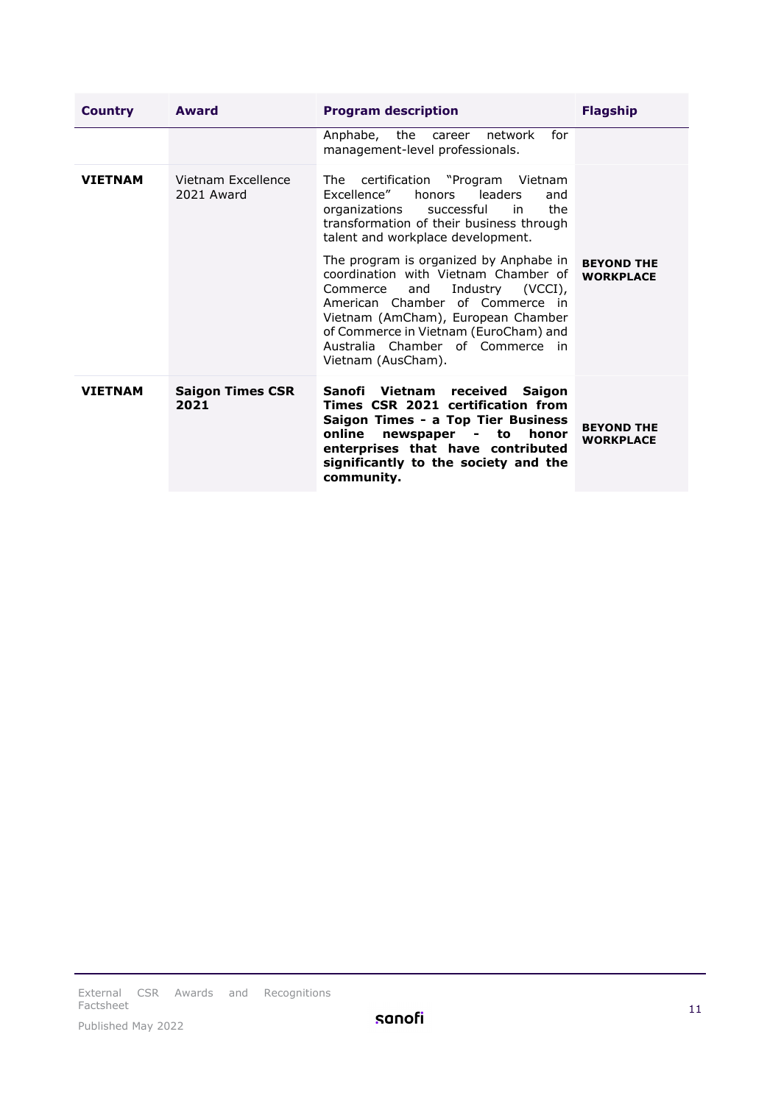| <b>Country</b> | Award                            | <b>Program description</b>                                                                                                                                                                                                                                                                        | <b>Flagship</b>                       |
|----------------|----------------------------------|---------------------------------------------------------------------------------------------------------------------------------------------------------------------------------------------------------------------------------------------------------------------------------------------------|---------------------------------------|
|                |                                  | for<br>Anphabe, the<br>network<br>career<br>management-level professionals.                                                                                                                                                                                                                       |                                       |
| <b>VIETNAM</b> | Vietnam Excellence<br>2021 Award | The certification "Program Vietnam<br>Excellence"<br>honors<br>leaders<br>and<br>the<br>organizations<br>successful<br>in<br>transformation of their business through<br>talent and workplace development.                                                                                        |                                       |
|                |                                  | The program is organized by Anphabe in<br>coordination with Vietnam Chamber of<br>Industry (VCCI),<br>and<br>Commerce<br>American Chamber of Commerce in<br>Vietnam (AmCham), European Chamber<br>of Commerce in Vietnam (EuroCham) and<br>Australia Chamber of Commerce in<br>Vietnam (AusCham). | <b>BEYOND THE</b><br><b>WORKPLACE</b> |
| <b>VIETNAM</b> | <b>Saigon Times CSR</b><br>2021  | Sanofi Vietnam received Saigon<br>Times CSR 2021 certification from<br>Saigon Times - a Top Tier Business<br>online<br>newspaper - to<br>honor<br>enterprises that have contributed<br>significantly to the society and the<br>community.                                                         | <b>BEYOND THE</b><br><b>WORKPLACE</b> |